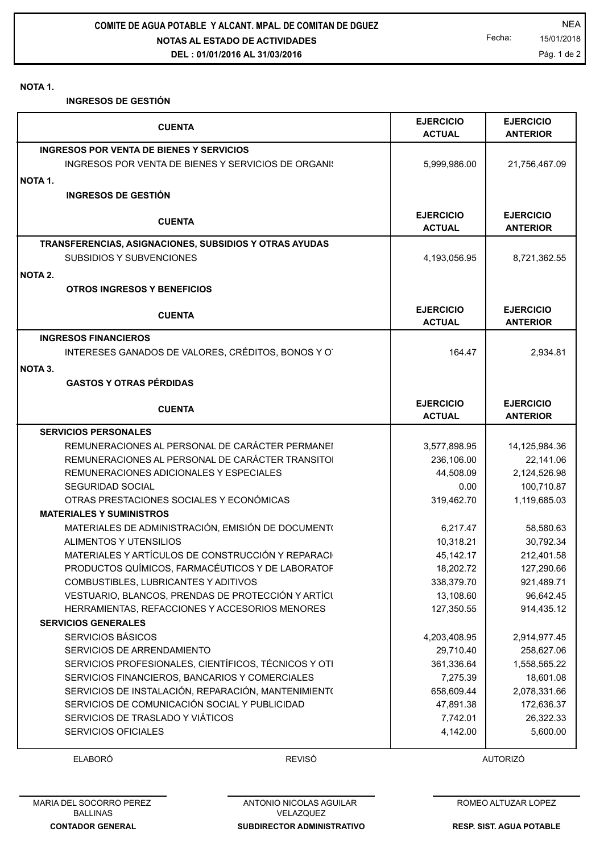**NOTAS AL ESTADO DE ACTIVIDADES DEL : 01/01/2016 AL 31/03/2016 COMITE DE AGUA POTABLE Y ALCANT. MPAL. DE COMITAN DE DGUEZ NEA** 

Fecha: 15/01/2018 Pág. 1 de 2

## **NOTA 1.**

**INGRESOS DE GESTIÓN**

|         | <b>CUENTA</b>                                          | <b>EJERCICIO</b><br><b>ACTUAL</b> | <b>EJERCICIO</b><br><b>ANTERIOR</b> |
|---------|--------------------------------------------------------|-----------------------------------|-------------------------------------|
|         | INGRESOS POR VENTA DE BIENES Y SERVICIOS               |                                   |                                     |
|         | INGRESOS POR VENTA DE BIENES Y SERVICIOS DE ORGANI:    | 5,999,986.00                      | 21,756,467.09                       |
|         |                                                        |                                   |                                     |
| NOTA 1. |                                                        |                                   |                                     |
|         | <b>INGRESOS DE GESTIÓN</b>                             |                                   |                                     |
|         | <b>CUENTA</b>                                          | <b>EJERCICIO</b><br><b>ACTUAL</b> | <b>EJERCICIO</b><br><b>ANTERIOR</b> |
|         | TRANSFERENCIAS, ASIGNACIONES, SUBSIDIOS Y OTRAS AYUDAS |                                   |                                     |
|         | SUBSIDIOS Y SUBVENCIONES                               | 4,193,056.95                      | 8,721,362.55                        |
| NOTA 2. |                                                        |                                   |                                     |
|         | <b>OTROS INGRESOS Y BENEFICIOS</b>                     |                                   |                                     |
|         |                                                        |                                   |                                     |
|         | <b>CUENTA</b>                                          | <b>EJERCICIO</b><br><b>ACTUAL</b> | <b>EJERCICIO</b><br><b>ANTERIOR</b> |
|         | <b>INGRESOS FINANCIEROS</b>                            |                                   |                                     |
|         | INTERESES GANADOS DE VALORES, CRÉDITOS, BONOS Y O      | 164.47                            | 2,934.81                            |
| NOTA 3. |                                                        |                                   |                                     |
|         | <b>GASTOS Y OTRAS PÉRDIDAS</b>                         |                                   |                                     |
|         |                                                        |                                   |                                     |
|         | <b>CUENTA</b>                                          | <b>EJERCICIO</b>                  | <b>EJERCICIO</b>                    |
|         |                                                        | <b>ACTUAL</b>                     | <b>ANTERIOR</b>                     |
|         | <b>SERVICIOS PERSONALES</b>                            |                                   |                                     |
|         | REMUNERACIONES AL PERSONAL DE CARÁCTER PERMANEI        | 3,577,898.95                      | 14,125,984.36                       |
|         | REMUNERACIONES AL PERSONAL DE CARÁCTER TRANSITO        | 236,106.00                        | 22,141.06                           |
|         | REMUNERACIONES ADICIONALES Y ESPECIALES                | 44,508.09                         | 2,124,526.98                        |
|         | <b>SEGURIDAD SOCIAL</b>                                | 0.00                              | 100,710.87                          |
|         | OTRAS PRESTACIONES SOCIALES Y ECONÓMICAS               | 319,462.70                        | 1,119,685.03                        |
|         | <b>MATERIALES Y SUMINISTROS</b>                        |                                   |                                     |
|         | MATERIALES DE ADMINISTRACIÓN, EMISIÓN DE DOCUMENTO     | 6,217.47                          | 58,580.63                           |
|         | <b>ALIMENTOS Y UTENSILIOS</b>                          | 10,318.21                         | 30,792.34                           |
|         | MATERIALES Y ARTÍCULOS DE CONSTRUCCIÓN Y REPARACI      | 45,142.17                         | 212,401.58                          |
|         | PRODUCTOS QUÍMICOS, FARMACÉUTICOS Y DE LABORATOF       | 18,202.72                         | 127,290.66                          |
|         | COMBUSTIBLES, LUBRICANTES Y ADITIVOS                   | 338,379.70                        | 921,489.71                          |
|         | VESTUARIO, BLANCOS, PRENDAS DE PROTECCIÓN Y ARTÍCI     | 13,108.60                         | 96,642.45                           |
|         | HERRAMIENTAS, REFACCIONES Y ACCESORIOS MENORES         | 127,350.55                        | 914,435.12                          |
|         | <b>SERVICIOS GENERALES</b>                             |                                   |                                     |
|         | <b>SERVICIOS BÁSICOS</b>                               | 4,203,408.95                      | 2,914,977.45                        |
|         | SERVICIOS DE ARRENDAMIENTO                             | 29,710.40                         | 258,627.06                          |
|         | SERVICIOS PROFESIONALES, CIENTÍFICOS, TÉCNICOS Y OTI   | 361,336.64                        | 1,558,565.22                        |
|         | SERVICIOS FINANCIEROS, BANCARIOS Y COMERCIALES         | 7,275.39                          | 18,601.08                           |
|         | SERVICIOS DE INSTALACIÓN, REPARACIÓN, MANTENIMIENTO    | 658,609.44                        | 2,078,331.66                        |
|         | SERVICIOS DE COMUNICACIÓN SOCIAL Y PUBLICIDAD          | 47,891.38                         | 172,636.37                          |
|         | SERVICIOS DE TRASLADO Y VIÁTICOS                       | 7,742.01                          | 26,322.33                           |
|         | <b>SERVICIOS OFICIALES</b>                             | 4,142.00                          | 5,600.00                            |

ELABORÓ REVISÓ AUTORIZÓ

**SUBDIRECTOR ADMINISTRATIVO** ANTONIO NICOLAS AGUILAR VELAZQUEZ

ROMEO ALTUZAR LOPEZ